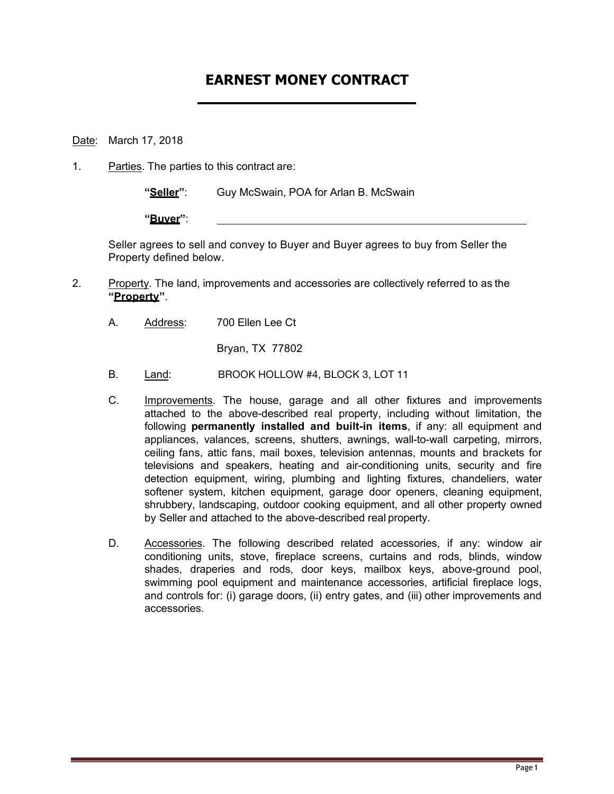## **EARNEST MONEY CONTRACT**

Date: March 17, 2018

1. Parties. The parties to this contract are:

**"Seller"**: Guy McSwain, POA for Arlan B. McSwain

**"Buyer"**:

Seller agrees to sell and convey to Buyer and Buyer agrees to buy from Seller the Property defined below.

- 2. Property. The land, improvements and accessories are collectively referred to as the **"Property"**.
	- A. Address: 700 Ellen Lee Ct

Bryan, TX 77802

- B. Land: BROOK HOLLOW #4, BLOCK 3, LOT 11
- C. Improvements. The house, garage and all other fixtures and improvements attached to the above-described real property, including without limitation, the following **permanently installed and built-in items**, if any: all equipment and appliances, valances, screens, shutters, awnings, wall-to-wall carpeting, mirrors, ceiling fans, attic fans, mail boxes, television antennas, mounts and brackets for televisions and speakers, heating and air-conditioning units, security and fire detection equipment, wiring, plumbing and lighting fixtures, chandeliers, water softener system, kitchen equipment, garage door openers, cleaning equipment, shrubbery, landscaping, outdoor cooking equipment, and all other property owned by Seller and attached to the above-described real property.
- D. Accessories. The following described related accessories, if any: window air conditioning units, stove, fireplace screens, curtains and rods, blinds, window shades, draperies and rods, door keys, mailbox keys, above-ground pool, swimming pool equipment and maintenance accessories, artificial fireplace logs, and controls for: (i) garage doors, (ii) entry gates, and (iii) other improvements and accessories.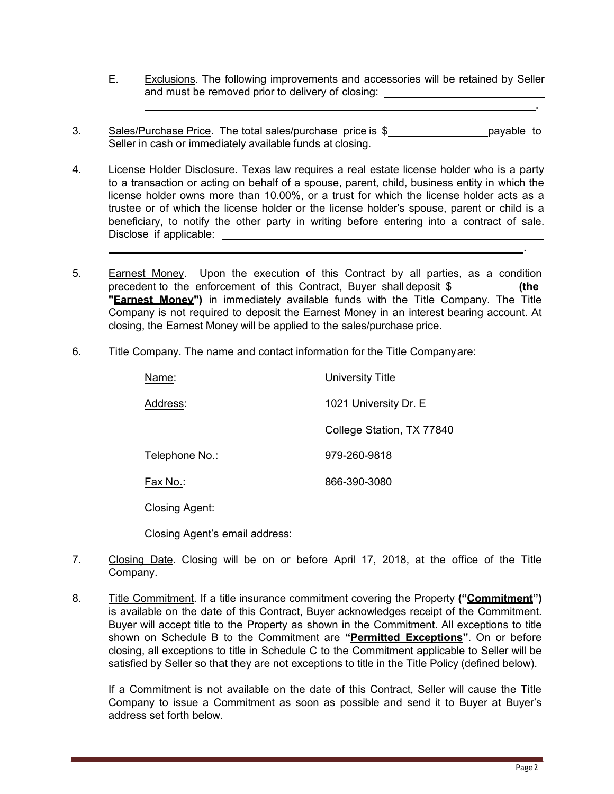- E. Exclusions. The following improvements and accessories will be retained by Seller and must be removed prior to delivery of closing:
- 3. Sales/Purchase Price. The total sales/purchase price is \$ payable to Seller in cash or immediately available funds at closing.
- 4. License Holder Disclosure. Texas law requires a real estate license holder who is a party to a transaction or acting on behalf of a spouse, parent, child, business entity in which the license holder owns more than 10.00%, or a trust for which the license holder acts as a trustee or of which the license holder or the license holder's spouse, parent or child is a beneficiary, to notify the other party in writing before entering into a contract of sale. Disclose if applicable:
- 5. Earnest Money. Upon the execution of this Contract by all parties, as a condition precedent to the enforcement of this Contract, Buyer shall deposit \$ **(the "Earnest Money")** in immediately available funds with the Title Company. The Title Company is not required to deposit the Earnest Money in an interest bearing account. At closing, the Earnest Money will be applied to the sales/purchase price.
- 6. Title Company. The name and contact information for the Title Companyare:

| Name:          | <b>University Title</b>   |  |
|----------------|---------------------------|--|
| Address:       | 1021 University Dr. E     |  |
|                | College Station, TX 77840 |  |
| Telephone No.: | 979-260-9818              |  |
| Fax No.:       | 866-390-3080              |  |

Closing Agent:

Closing Agent's email address:

- 7. Closing Date. Closing will be on or before April 17, 2018, at the office of the Title Company.
- 8. Title Commitment. If a title insurance commitment covering the Property **("Commitment")**  is available on the date of this Contract, Buyer acknowledges receipt of the Commitment. Buyer will accept title to the Property as shown in the Commitment. All exceptions to title shown on Schedule B to the Commitment are **"Permitted Exceptions"**. On or before closing, all exceptions to title in Schedule C to the Commitment applicable to Seller will be satisfied by Seller so that they are not exceptions to title in the Title Policy (defined below).

If a Commitment is not available on the date of this Contract, Seller will cause the Title Company to issue a Commitment as soon as possible and send it to Buyer at Buyer's address set forth below.

.

.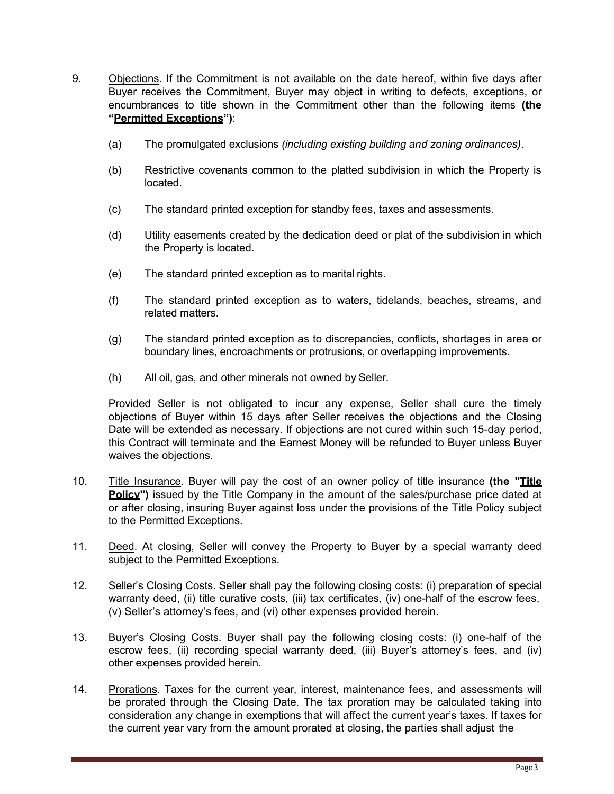- 9. Objections. If the Commitment is not available on the date hereof, within five days after Buyer receives the Commitment, Buyer may object in writing to defects, exceptions, or encumbrances to title shown in the Commitment other than the following items **(the "Permitted Exceptions")**:
	- (a) The promulgated exclusions *(including existing building and zoning ordinances)*.
	- (b) Restrictive covenants common to the platted subdivision in which the Property is located.
	- (c) The standard printed exception for standby fees, taxes and assessments.
	- (d) Utility easements created by the dedication deed or plat of the subdivision in which the Property is located.
	- (e) The standard printed exception as to marital rights.
	- (f) The standard printed exception as to waters, tidelands, beaches, streams, and related matters.
	- (g) The standard printed exception as to discrepancies, conflicts, shortages in area or boundary lines, encroachments or protrusions, or overlapping improvements.
	- (h) All oil, gas, and other minerals not owned by Seller.

Provided Seller is not obligated to incur any expense, Seller shall cure the timely objections of Buyer within 15 days after Seller receives the objections and the Closing Date will be extended as necessary. If objections are not cured within such 15-day period, this Contract will terminate and the Earnest Money will be refunded to Buyer unless Buyer waives the objections.

- 10. Title Insurance. Buyer will pay the cost of an owner policy of title insurance **(the "Title Policy"**) issued by the Title Company in the amount of the sales/purchase price dated at or after closing, insuring Buyer against loss under the provisions of the Title Policy subject to the Permitted Exceptions.
- 11. Deed. At closing, Seller will convey the Property to Buyer by a special warranty deed subject to the Permitted Exceptions.
- 12. Seller's Closing Costs. Seller shall pay the following closing costs: (i) preparation of special warranty deed, (ii) title curative costs, (iii) tax certificates, (iv) one-half of the escrow fees, (v) Seller's attorney's fees, and (vi) other expenses provided herein.
- 13. Buyer's Closing Costs. Buyer shall pay the following closing costs: (i) one-half of the escrow fees, (ii) recording special warranty deed, (iii) Buyer's attorney's fees, and (iv) other expenses provided herein.
- 14. Prorations. Taxes for the current year, interest, maintenance fees, and assessments will be prorated through the Closing Date. The tax proration may be calculated taking into consideration any change in exemptions that will affect the current year's taxes. If taxes for the current year vary from the amount prorated at closing, the parties shall adjust the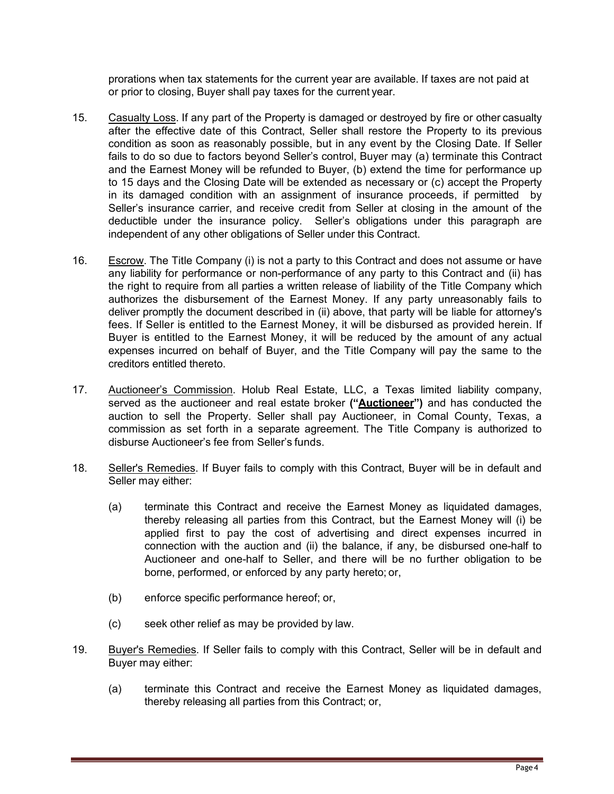prorations when tax statements for the current year are available. If taxes are not paid at or prior to closing, Buyer shall pay taxes for the current year.

- 15. Casualty Loss. If any part of the Property is damaged or destroyed by fire or other casualty after the effective date of this Contract, Seller shall restore the Property to its previous condition as soon as reasonably possible, but in any event by the Closing Date. If Seller fails to do so due to factors beyond Seller's control, Buyer may (a) terminate this Contract and the Earnest Money will be refunded to Buyer, (b) extend the time for performance up to 15 days and the Closing Date will be extended as necessary or (c) accept the Property in its damaged condition with an assignment of insurance proceeds, if permitted by Seller's insurance carrier, and receive credit from Seller at closing in the amount of the deductible under the insurance policy. Seller's obligations under this paragraph are independent of any other obligations of Seller under this Contract.
- 16. Escrow. The Title Company (i) is not a party to this Contract and does not assume or have any liability for performance or non-performance of any party to this Contract and (ii) has the right to require from all parties a written release of liability of the Title Company which authorizes the disbursement of the Earnest Money. If any party unreasonably fails to deliver promptly the document described in (ii) above, that party will be liable for attorney's fees. If Seller is entitled to the Earnest Money, it will be disbursed as provided herein. If Buyer is entitled to the Earnest Money, it will be reduced by the amount of any actual expenses incurred on behalf of Buyer, and the Title Company will pay the same to the creditors entitled thereto.
- 17. Auctioneer's Commission. Holub Real Estate, LLC, a Texas limited liability company, served as the auctioneer and real estate broker **("Auctioneer")** and has conducted the auction to sell the Property. Seller shall pay Auctioneer, in Comal County, Texas, a commission as set forth in a separate agreement. The Title Company is authorized to disburse Auctioneer's fee from Seller's funds.
- 18. Seller's Remedies. If Buyer fails to comply with this Contract, Buyer will be in default and Seller may either:
	- (a) terminate this Contract and receive the Earnest Money as liquidated damages, thereby releasing all parties from this Contract, but the Earnest Money will (i) be applied first to pay the cost of advertising and direct expenses incurred in connection with the auction and (ii) the balance, if any, be disbursed one-half to Auctioneer and one-half to Seller, and there will be no further obligation to be borne, performed, or enforced by any party hereto; or,
	- (b) enforce specific performance hereof; or,
	- (c) seek other relief as may be provided by law.
- 19. Buyer's Remedies. If Seller fails to comply with this Contract, Seller will be in default and Buyer may either:
	- (a) terminate this Contract and receive the Earnest Money as liquidated damages, thereby releasing all parties from this Contract; or,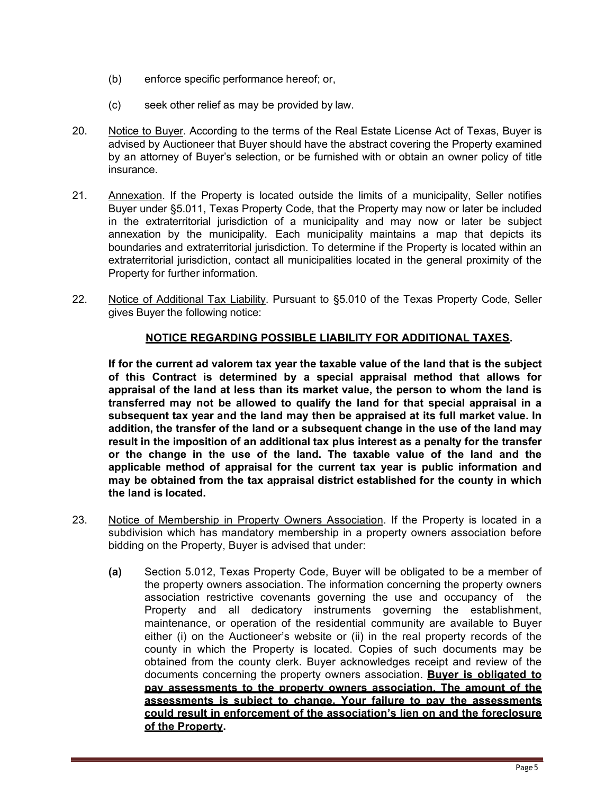- (b) enforce specific performance hereof; or,
- (c) seek other relief as may be provided by law.
- 20. Notice to Buyer. According to the terms of the Real Estate License Act of Texas, Buyer is advised by Auctioneer that Buyer should have the abstract covering the Property examined by an attorney of Buyer's selection, or be furnished with or obtain an owner policy of title insurance.
- 21. Annexation. If the Property is located outside the limits of a municipality, Seller notifies Buyer under §5.011, Texas Property Code, that the Property may now or later be included in the extraterritorial jurisdiction of a municipality and may now or later be subject annexation by the municipality. Each municipality maintains a map that depicts its boundaries and extraterritorial jurisdiction. To determine if the Property is located within an extraterritorial jurisdiction, contact all municipalities located in the general proximity of the Property for further information.
- 22. Notice of Additional Tax Liability. Pursuant to §5.010 of the Texas Property Code, Seller gives Buyer the following notice:

## **NOTICE REGARDING POSSIBLE LIABILITY FOR ADDITIONAL TAXES.**

**If for the current ad valorem tax year the taxable value of the land that is the subject of this Contract is determined by a special appraisal method that allows for appraisal of the land at less than its market value, the person to whom the land is transferred may not be allowed to qualify the land for that special appraisal in a subsequent tax year and the land may then be appraised at its full market value. In addition, the transfer of the land or a subsequent change in the use of the land may result in the imposition of an additional tax plus interest as a penalty for the transfer or the change in the use of the land. The taxable value of the land and the applicable method of appraisal for the current tax year is public information and may be obtained from the tax appraisal district established for the county in which the land is located.**

- 23. Notice of Membership in Property Owners Association. If the Property is located in a subdivision which has mandatory membership in a property owners association before bidding on the Property, Buyer is advised that under:
	- **(a)** Section 5.012, Texas Property Code, Buyer will be obligated to be a member of the property owners association. The information concerning the property owners association restrictive covenants governing the use and occupancy of the Property and all dedicatory instruments governing the establishment, maintenance, or operation of the residential community are available to Buyer either (i) on the Auctioneer's website or (ii) in the real property records of the county in which the Property is located. Copies of such documents may be obtained from the county clerk. Buyer acknowledges receipt and review of the documents concerning the property owners association. **Buyer is obligated to pay assessments to the property owners association. The amount of the assessments is subject to change. Your failure to pay the assessments could result in enforcement of the association's lien on and the foreclosure of the Property.**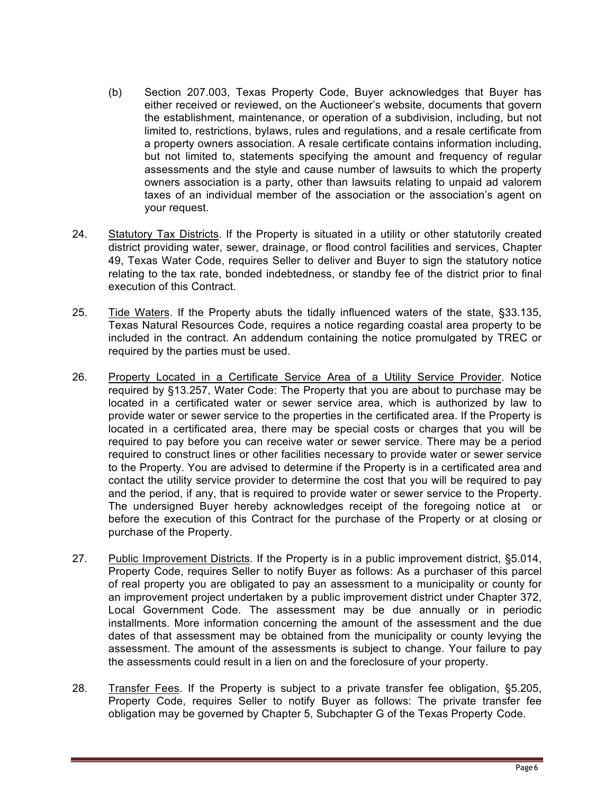- (b) Section 207.003, Texas Property Code, Buyer acknowledges that Buyer has either received or reviewed, on the Auctioneer's website, documents that govern the establishment, maintenance, or operation of a subdivision, including, but not limited to, restrictions, bylaws, rules and regulations, and a resale certificate from a property owners association. A resale certificate contains information including, but not limited to, statements specifying the amount and frequency of regular assessments and the style and cause number of lawsuits to which the property owners association is a party, other than lawsuits relating to unpaid ad valorem taxes of an individual member of the association or the association's agent on your request.
- 24. Statutory Tax Districts. If the Property is situated in a utility or other statutorily created district providing water, sewer, drainage, or flood control facilities and services, Chapter 49, Texas Water Code, requires Seller to deliver and Buyer to sign the statutory notice relating to the tax rate, bonded indebtedness, or standby fee of the district prior to final execution of this Contract.
- 25. Tide Waters. If the Property abuts the tidally influenced waters of the state, §33.135, Texas Natural Resources Code, requires a notice regarding coastal area property to be included in the contract. An addendum containing the notice promulgated by TREC or required by the parties must be used.
- 26. Property Located in a Certificate Service Area of a Utility Service Provider. Notice required by §13.257, Water Code: The Property that you are about to purchase may be located in a certificated water or sewer service area, which is authorized by law to provide water or sewer service to the properties in the certificated area. If the Property is located in a certificated area, there may be special costs or charges that you will be required to pay before you can receive water or sewer service. There may be a period required to construct lines or other facilities necessary to provide water or sewer service to the Property. You are advised to determine if the Property is in a certificated area and contact the utility service provider to determine the cost that you will be required to pay and the period, if any, that is required to provide water or sewer service to the Property. The undersigned Buyer hereby acknowledges receipt of the foregoing notice at or before the execution of this Contract for the purchase of the Property or at closing or purchase of the Property.
- 27. Public Improvement Districts. If the Property is in a public improvement district, §5.014, Property Code, requires Seller to notify Buyer as follows: As a purchaser of this parcel of real property you are obligated to pay an assessment to a municipality or county for an improvement project undertaken by a public improvement district under Chapter 372, Local Government Code. The assessment may be due annually or in periodic installments. More information concerning the amount of the assessment and the due dates of that assessment may be obtained from the municipality or county levying the assessment. The amount of the assessments is subject to change. Your failure to pay the assessments could result in a lien on and the foreclosure of your property.
- 28. Transfer Fees. If the Property is subject to a private transfer fee obligation, §5.205, Property Code, requires Seller to notify Buyer as follows: The private transfer fee obligation may be governed by Chapter 5, Subchapter G of the Texas Property Code.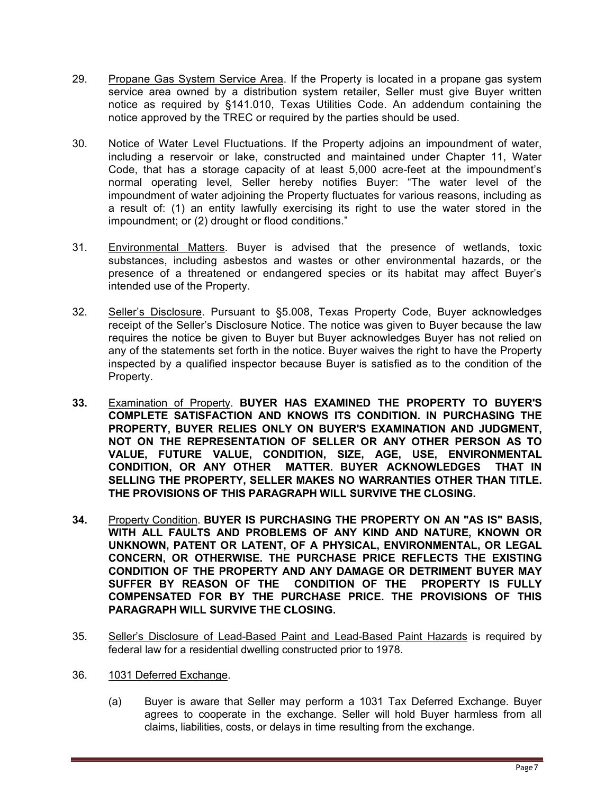- 29. Propane Gas System Service Area. If the Property is located in a propane gas system service area owned by a distribution system retailer, Seller must give Buyer written notice as required by §141.010, Texas Utilities Code. An addendum containing the notice approved by the TREC or required by the parties should be used.
- 30. Notice of Water Level Fluctuations. If the Property adjoins an impoundment of water, including a reservoir or lake, constructed and maintained under Chapter 11, Water Code, that has a storage capacity of at least 5,000 acre-feet at the impoundment's normal operating level, Seller hereby notifies Buyer: "The water level of the impoundment of water adjoining the Property fluctuates for various reasons, including as a result of: (1) an entity lawfully exercising its right to use the water stored in the impoundment; or (2) drought or flood conditions."
- 31. Environmental Matters. Buyer is advised that the presence of wetlands, toxic substances, including asbestos and wastes or other environmental hazards, or the presence of a threatened or endangered species or its habitat may affect Buyer's intended use of the Property.
- 32. Seller's Disclosure. Pursuant to §5.008, Texas Property Code, Buyer acknowledges receipt of the Seller's Disclosure Notice. The notice was given to Buyer because the law requires the notice be given to Buyer but Buyer acknowledges Buyer has not relied on any of the statements set forth in the notice. Buyer waives the right to have the Property inspected by a qualified inspector because Buyer is satisfied as to the condition of the Property.
- **33.** Examination of Property. **BUYER HAS EXAMINED THE PROPERTY TO BUYER'S COMPLETE SATISFACTION AND KNOWS ITS CONDITION. IN PURCHASING THE PROPERTY, BUYER RELIES ONLY ON BUYER'S EXAMINATION AND JUDGMENT, NOT ON THE REPRESENTATION OF SELLER OR ANY OTHER PERSON AS TO VALUE, FUTURE VALUE, CONDITION, SIZE, AGE, USE, ENVIRONMENTAL CONDITION, OR ANY OTHER MATTER. BUYER ACKNOWLEDGES THAT IN SELLING THE PROPERTY, SELLER MAKES NO WARRANTIES OTHER THAN TITLE. THE PROVISIONS OF THIS PARAGRAPH WILL SURVIVE THE CLOSING.**
- **34.** Property Condition. **BUYER IS PURCHASING THE PROPERTY ON AN "AS IS" BASIS, WITH ALL FAULTS AND PROBLEMS OF ANY KIND AND NATURE, KNOWN OR UNKNOWN, PATENT OR LATENT, OF A PHYSICAL, ENVIRONMENTAL, OR LEGAL CONCERN, OR OTHERWISE. THE PURCHASE PRICE REFLECTS THE EXISTING CONDITION OF THE PROPERTY AND ANY DAMAGE OR DETRIMENT BUYER MAY SUFFER BY REASON OF THE CONDITION OF THE PROPERTY IS FULLY COMPENSATED FOR BY THE PURCHASE PRICE. THE PROVISIONS OF THIS PARAGRAPH WILL SURVIVE THE CLOSING.**
- 35. Seller's Disclosure of Lead-Based Paint and Lead-Based Paint Hazards is required by federal law for a residential dwelling constructed prior to 1978.
- 36. 1031 Deferred Exchange.
	- (a) Buyer is aware that Seller may perform a 1031 Tax Deferred Exchange. Buyer agrees to cooperate in the exchange. Seller will hold Buyer harmless from all claims, liabilities, costs, or delays in time resulting from the exchange.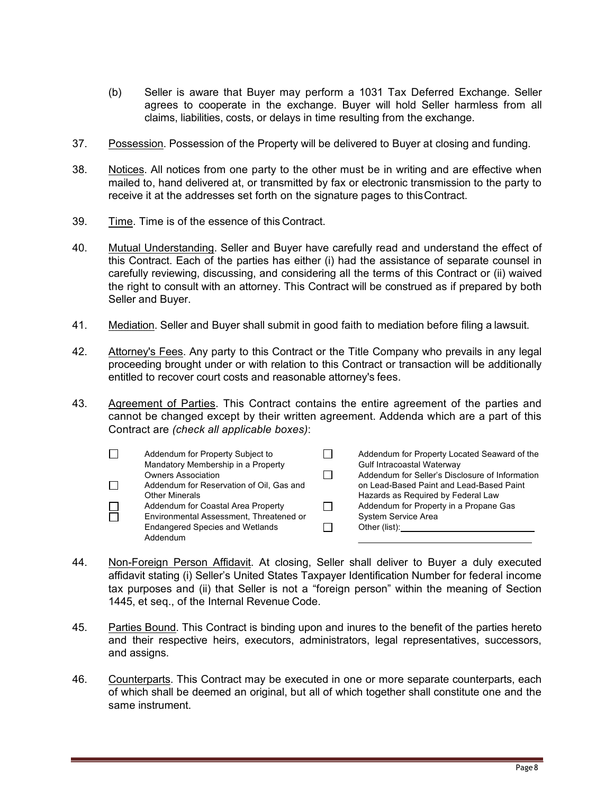- (b) Seller is aware that Buyer may perform a 1031 Tax Deferred Exchange. Seller agrees to cooperate in the exchange. Buyer will hold Seller harmless from all claims, liabilities, costs, or delays in time resulting from the exchange.
- 37. Possession. Possession of the Property will be delivered to Buyer at closing and funding.
- 38. Notices. All notices from one party to the other must be in writing and are effective when mailed to, hand delivered at, or transmitted by fax or electronic transmission to the party to receive it at the addresses set forth on the signature pages to thisContract.
- 39. Time. Time is of the essence of this Contract.
- 40. Mutual Understanding. Seller and Buyer have carefully read and understand the effect of this Contract. Each of the parties has either (i) had the assistance of separate counsel in carefully reviewing, discussing, and considering all the terms of this Contract or (ii) waived the right to consult with an attorney. This Contract will be construed as if prepared by both Seller and Buyer.
- 41. Mediation. Seller and Buyer shall submit in good faith to mediation before filing a lawsuit.
- 42. Attorney's Fees. Any party to this Contract or the Title Company who prevails in any legal proceeding brought under or with relation to this Contract or transaction will be additionally entitled to recover court costs and reasonable attorney's fees.
- 43. Agreement of Parties. This Contract contains the entire agreement of the parties and cannot be changed except by their written agreement. Addenda which are a part of this Contract are *(check all applicable boxes)*:

| Addendum for Property Subject to         |                                                             | Addendum for Property Located Seaward of the<br>Gulf Intracoastal Waterway |
|------------------------------------------|-------------------------------------------------------------|----------------------------------------------------------------------------|
| <b>Owners Association</b>                |                                                             | Addendum for Seller's Disclosure of Information                            |
| Addendum for Reservation of Oil, Gas and |                                                             | on Lead-Based Paint and Lead-Based Paint                                   |
|                                          |                                                             | Hazards as Required by Federal Law                                         |
| Addendum for Coastal Area Property       |                                                             | Addendum for Property in a Propane Gas                                     |
| Environmental Assessment, Threatened or  |                                                             | System Service Area                                                        |
| <b>Endangered Species and Wetlands</b>   |                                                             | Other (list):                                                              |
| Addendum                                 |                                                             |                                                                            |
|                                          | Mandatory Membership in a Property<br><b>Other Minerals</b> |                                                                            |

- 44. Non-Foreign Person Affidavit. At closing, Seller shall deliver to Buyer a duly executed affidavit stating (i) Seller's United States Taxpayer Identification Number for federal income tax purposes and (ii) that Seller is not a "foreign person" within the meaning of Section 1445, et seq., of the Internal Revenue Code.
- 45. Parties Bound. This Contract is binding upon and inures to the benefit of the parties hereto and their respective heirs, executors, administrators, legal representatives, successors, and assigns.
- 46. Counterparts. This Contract may be executed in one or more separate counterparts, each of which shall be deemed an original, but all of which together shall constitute one and the same instrument.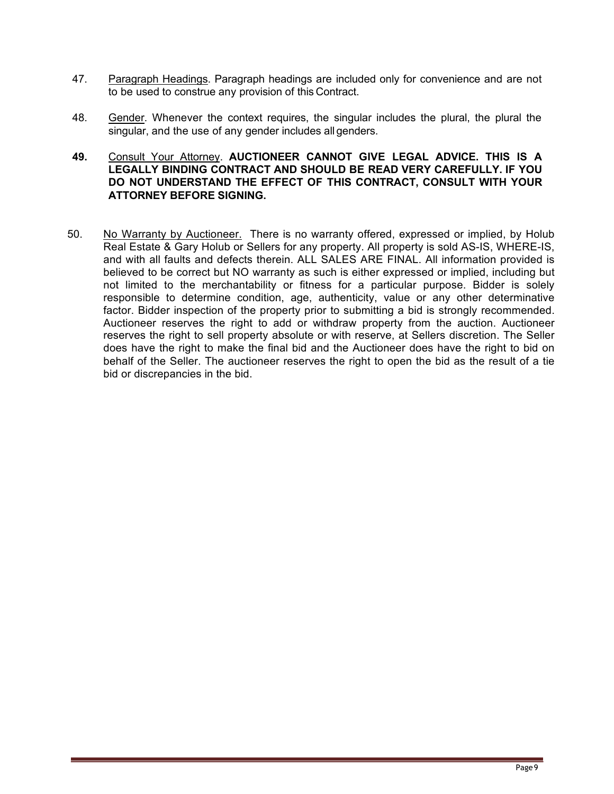- 47. Paragraph Headings. Paragraph headings are included only for convenience and are not to be used to construe any provision of this Contract.
- 48. Gender. Whenever the context requires, the singular includes the plural, the plural the singular, and the use of any gender includes all genders.

## **49.** Consult Your Attorney. **AUCTIONEER CANNOT GIVE LEGAL ADVICE. THIS IS A LEGALLY BINDING CONTRACT AND SHOULD BE READ VERY CAREFULLY. IF YOU DO NOT UNDERSTAND THE EFFECT OF THIS CONTRACT, CONSULT WITH YOUR ATTORNEY BEFORE SIGNING.**

50. No Warranty by Auctioneer. There is no warranty offered, expressed or implied, by Holub Real Estate & Gary Holub or Sellers for any property. All property is sold AS-IS, WHERE-IS, and with all faults and defects therein. ALL SALES ARE FINAL. All information provided is believed to be correct but NO warranty as such is either expressed or implied, including but not limited to the merchantability or fitness for a particular purpose. Bidder is solely responsible to determine condition, age, authenticity, value or any other determinative factor. Bidder inspection of the property prior to submitting a bid is strongly recommended. Auctioneer reserves the right to add or withdraw property from the auction. Auctioneer reserves the right to sell property absolute or with reserve, at Sellers discretion. The Seller does have the right to make the final bid and the Auctioneer does have the right to bid on behalf of the Seller. The auctioneer reserves the right to open the bid as the result of a tie bid or discrepancies in the bid.